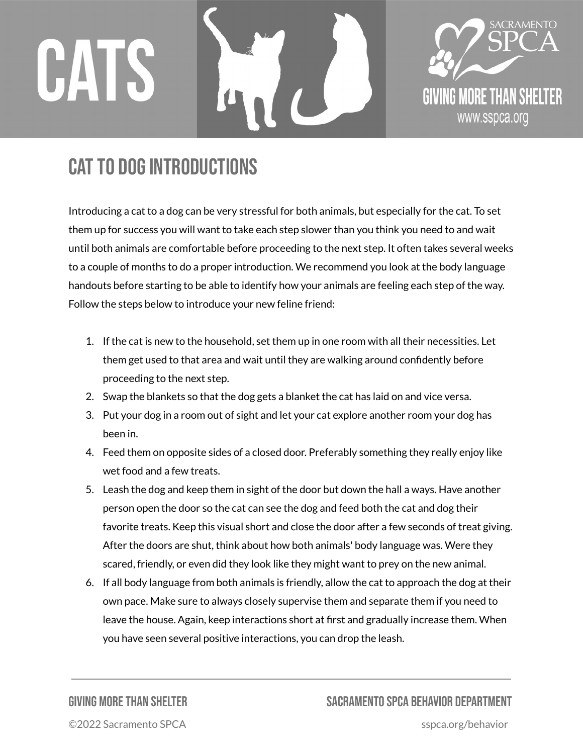## CATS



## CAT TO DOG INTRODUCTIONS

Introducing a cat to a dog can be very stressful for both animals, but especially for the cat. To set them up for success you will want to take each step slower than you think you need to and wait until both animals are comfortable before proceeding to the next step. It often takes several weeks to a couple of months to do a proper introduction. We recommend you look at the body language handouts before starting to be able to identify how your animals are feeling each step of the way. Follow the steps below to introduce your new feline friend:

- 1. If the cat is new to the household, set them up in one room with all their necessities. Let them get used to that area and wait until they are walking around confidently before proceeding to the next step.
- 2. Swap the blankets so that the dog gets a blanket the cat has laid on and vice versa.
- 3. Put your dog in a room out of sight and let your cat explore another room your dog has been in.
- 4. Feed them on opposite sides of a closed door. Preferably something they really enjoy like wet food and a few treats.
- 5. Leash the dog and keep them in sight of the door but down the hall a ways. Have another person open the door so the cat can see the dog and feed both the cat and dog their favorite treats. Keep this visual short and close the door after a few seconds of treat giving. After the doors are shut, think about how both animals' body language was. Were they scared, friendly, or even did they look like they might want to prey on the new animal.
- 6. If all body language from both animals is friendly, allow the cat to approach the dog at their own pace. Make sure to always closely supervise them and separate them if you need to leave the house. Again, keep interactions short at first and gradually increase them. When you have seen several positive interactions, you can drop the leash.